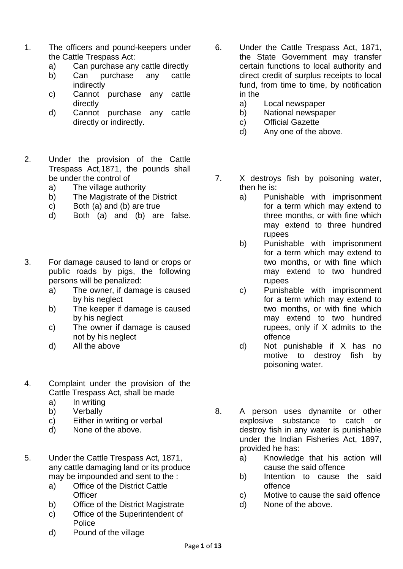- 1. The officers and pound-keepers under the Cattle Trespass Act:
	- a) Can purchase any cattle directly
	- b) Can purchase any cattle indirectly
	- c) Cannot purchase any cattle directly
	- d) Cannot purchase any cattle directly or indirectly.
- 2. Under the provision of the Cattle Trespass Act,1871, the pounds shall be under the control of
	- a) The village authority
	- b) The Magistrate of the District
	- c) Both (a) and (b) are true
	- d) Both (a) and (b) are false.
- 3. For damage caused to land or crops or public roads by pigs, the following persons will be penalized:
	- a) The owner, if damage is caused by his neglect
	- b) The keeper if damage is caused by his neglect
	- c) The owner if damage is caused not by his neglect
	- d) All the above
- 4. Complaint under the provision of the Cattle Trespass Act, shall be made
	- a) In writing
	- b) Verbally
	- c) Either in writing or verbal
	- d) None of the above.
- 5. Under the Cattle Trespass Act, 1871, any cattle damaging land or its produce may be impounded and sent to the :
	- a) Office of the District Cattle **Officer**
	- b) Office of the District Magistrate
	- c) Office of the Superintendent of Police
	- d) Pound of the village
- 6. Under the Cattle Trespass Act, 1871, the State Government may transfer certain functions to local authority and direct credit of surplus receipts to local fund, from time to time, by notification in the
	- a) Local newspaper
	- b) National newspaper
	- c) Official Gazette
	- d) Any one of the above.
- 7. X destroys fish by poisoning water, then he is:
	- a) Punishable with imprisonment for a term which may extend to three months, or with fine which may extend to three hundred rupees
	- b) Punishable with imprisonment for a term which may extend to two months, or with fine which may extend to two hundred rupees
	- c) Punishable with imprisonment for a term which may extend to two months, or with fine which may extend to two hundred rupees, only if X admits to the offence
	- d) Not punishable if X has no motive to destroy fish by poisoning water.
- 8. A person uses dynamite or other explosive substance to catch or destroy fish in any water is punishable under the Indian Fisheries Act, 1897, provided he has:
	- a) Knowledge that his action will cause the said offence
	- b) Intention to cause the said offence
	- c) Motive to cause the said offence
	- d) None of the above.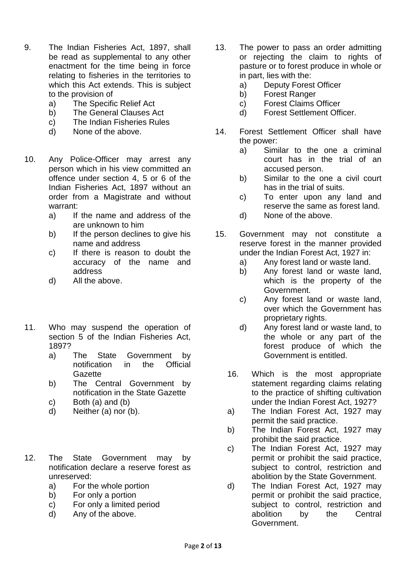- 9. The Indian Fisheries Act, 1897, shall be read as supplemental to any other enactment for the time being in force relating to fisheries in the territories to which this Act extends. This is subject to the provision of
	- a) The Specific Relief Act
	- b) The General Clauses Act
	- c) The Indian Fisheries Rules
	- d) None of the above.
- 10. Any Police-Officer may arrest any person which in his view committed an offence under section 4, 5 or 6 of the Indian Fisheries Act, 1897 without an order from a Magistrate and without warrant:
	- a) If the name and address of the are unknown to him
	- b) If the person declines to give his name and address
	- c) If there is reason to doubt the accuracy of the name and address
	- d) All the above.
- 11. Who may suspend the operation of section 5 of the Indian Fisheries Act, 1897?
	- a) The State Government by notification in the Official **Gazette**
	- b) The Central Government by notification in the State Gazette
	- c) Both (a) and (b)
	- d) Neither (a) nor (b).
- 12. The State Government may by notification declare a reserve forest as unreserved:
	- a) For the whole portion
	- b) For only a portion
	- c) For only a limited period
	- d) Any of the above.
- 13. The power to pass an order admitting or rejecting the claim to rights of pasture or to forest produce in whole or in part, lies with the:
	- a) Deputy Forest Officer
	- b) Forest Ranger
	- c) Forest Claims Officer
	- d) Forest Settlement Officer.
- 14. Forest Settlement Officer shall have the power:
	- a) Similar to the one a criminal court has in the trial of an accused person.
	- b) Similar to the one a civil court has in the trial of suits.
	- c) To enter upon any land and reserve the same as forest land.
	- d) None of the above.
- 15. Government may not constitute a reserve forest in the manner provided under the Indian Forest Act, 1927 in:
	- a) Any forest land or waste land.
	- b) Any forest land or waste land, which is the property of the Government.
	- c) Any forest land or waste land, over which the Government has proprietary rights.
	- d) Any forest land or waste land, to the whole or any part of the forest produce of which the Government is entitled.
	- 16. Which is the most appropriate statement regarding claims relating to the practice of shifting cultivation under the Indian Forest Act, 1927?
	- a) The Indian Forest Act, 1927 may permit the said practice.
	- b) The Indian Forest Act, 1927 may prohibit the said practice.
	- c) The Indian Forest Act, 1927 may permit or prohibit the said practice, subject to control, restriction and abolition by the State Government.
	- d) The Indian Forest Act, 1927 may permit or prohibit the said practice, subject to control, restriction and abolition by the Central Government.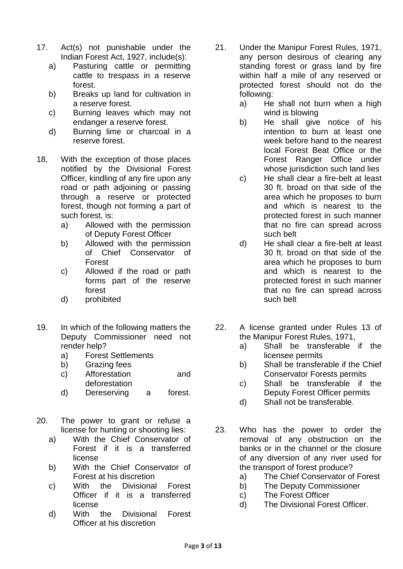- 17. Act(s) not punishable under the Indian Forest Act, 1927, include(s):
	- a) Pasturing cattle or permitting cattle to trespass in a reserve forest.
	- b) Breaks up land for cultivation in a reserve forest.
	- c) Burning leaves which may not endanger a reserve forest.
	- d) Burning lime or charcoal in a reserve forest.
- 18. With the exception of those places notified by the Divisional Forest Officer, kindling of any fire upon any road or path adjoining or passing through a reserve or protected forest, though not forming a part of such forest, is:
	- a) Allowed with the permission of Deputy Forest Officer
	- b) Allowed with the permission of Chief Conservator of Forest
	- c) Allowed if the road or path forms part of the reserve forest
	- d) prohibited
- 19. In which of the following matters the Deputy Commissioner need not render help?
	- a) Forest Settlements
	- b) Grazing fees
	- c) Afforestation and deforestation
	- d) Dereserving a forest.
- 20. The power to grant or refuse a license for hunting or shooting lies:
	- a) With the Chief Conservator of Forest if it is a transferred license
	- b) With the Chief Conservator of Forest at his discretion
	- c) With the Divisional Forest Officer if it is a transferred license
	- d) With the Divisional Forest Officer at his discretion
- 21. Under the Manipur Forest Rules, 1971, any person desirous of clearing any standing forest or grass land by fire within half a mile of any reserved or protected forest should not do the following:
	- a) He shall not burn when a high wind is blowing
	- b) He shall give notice of his intention to burn at least one week before hand to the nearest local Forest Beat Office or the Forest Ranger Office under whose jurisdiction such land lies
	- c) He shall clear a fire-belt at least 30 ft. broad on that side of the area which he proposes to burn and which is nearest to the protected forest in such manner that no fire can spread across such belt
	- d) He shall clear a fire-belt at least 30 ft. broad on that side of the area which he proposes to burn and which is nearest to the protected forest in such manner that no fire can spread across such belt
- 22. A license granted under Rules 13 of the Manipur Forest Rules, 1971,
	- a) Shall be transferable if the licensee permits
	- b) Shall be transferable if the Chief Conservator Forests permits
	- c) Shall be transferable if the Deputy Forest Officer permits
	- d) Shall not be transferable.
- 23. Who has the power to order the removal of any obstruction on the banks or in the channel or the closure of any diversion of any river used for the transport of forest produce?
	- a) The Chief Conservator of Forest
	- b) The Deputy Commissioner
	- c) The Forest Officer
	- d) The Divisional Forest Officer.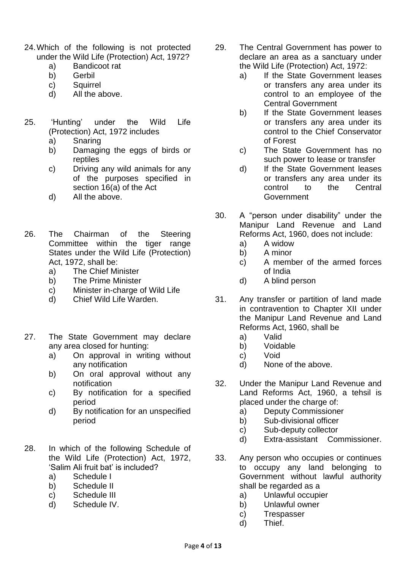- 24.Which of the following is not protected under the Wild Life (Protection) Act, 1972?
	- a) Bandicoot rat
	- b) Gerbil
	- c) Squirrel
	- d) All the above.
- 25. 'Hunting' under the Wild Life (Protection) Act, 1972 includes
	- a) Snaring
	- b) Damaging the eggs of birds or reptiles
	- c) Driving any wild animals for any of the purposes specified in section 16(a) of the Act
	- d) All the above.
- 26. The Chairman of the Steering Committee within the tiger range States under the Wild Life (Protection) Act, 1972, shall be:
	- a) The Chief Minister
	- b) The Prime Minister
	- c) Minister in-charge of Wild Life
	- d) Chief Wild Life Warden.
- 27. The State Government may declare any area closed for hunting:
	- a) On approval in writing without any notification
	- b) On oral approval without any notification
	- c) By notification for a specified period
	- d) By notification for an unspecified period
- 28. In which of the following Schedule of the Wild Life (Protection) Act, 1972, 'Salim Ali fruit bat' is included?
	- a) Schedule I
	- b) Schedule II
	- c) Schedule III
	- d) Schedule IV.
- 29. The Central Government has power to declare an area as a sanctuary under the Wild Life (Protection) Act, 1972:
	- a) If the State Government leases or transfers any area under its control to an employee of the Central Government
	- b) If the State Government leases or transfers any area under its control to the Chief Conservator of Forest
	- c) The State Government has no such power to lease or transfer
	- d) If the State Government leases or transfers any area under its control to the Central Government
- 30. A "person under disability" under the Manipur Land Revenue and Land Reforms Act, 1960, does not include:
	- a) A widow
	- b) A minor
	- c) A member of the armed forces of India
	- d) A blind person
- 31. Any transfer or partition of land made in contravention to Chapter XII under the Manipur Land Revenue and Land Reforms Act, 1960, shall be
	- a) Valid
	- b) Voidable
	- c) Void
	- d) None of the above.
- 32. Under the Manipur Land Revenue and Land Reforms Act, 1960, a tehsil is placed under the charge of:
	- a) Deputy Commissioner
	- b) Sub-divisional officer
	- c) Sub-deputy collector
	- d) Extra-assistant Commissioner.
- 33. Any person who occupies or continues to occupy any land belonging to Government without lawful authority shall be regarded as a
	- a) Unlawful occupier
	- b) Unlawful owner
	- c) Trespasser
	- d) Thief.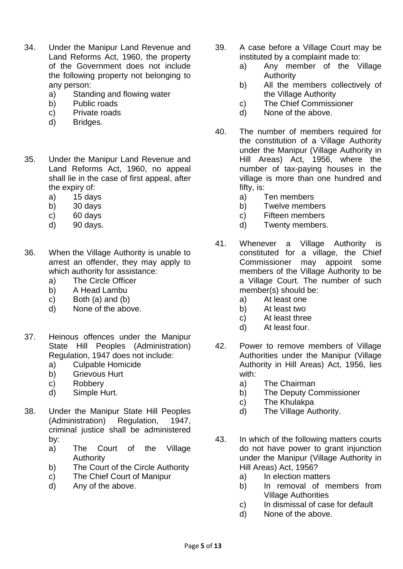- 34. Under the Manipur Land Revenue and Land Reforms Act, 1960, the property of the Government does not include the following property not belonging to any person:
	- a) Standing and flowing water
	- b) Public roads
	- c) Private roads
	- d) Bridges.
- 35. Under the Manipur Land Revenue and Land Reforms Act, 1960, no appeal shall lie in the case of first appeal, after the expiry of:
	- a) 15 days
	- b) 30 days
	- c) 60 days
	- d) 90 days.
- 36. When the Village Authority is unable to arrest an offender, they may apply to which authority for assistance:
	- a) The Circle Officer
	- b) A Head Lambu
	- c) Both (a) and (b)
	- d) None of the above.
- 37. Heinous offences under the Manipur State Hill Peoples (Administration) Regulation, 1947 does not include:
	- a) Culpable Homicide
	- b) Grievous Hurt
	- c) Robbery
	- d) Simple Hurt.
- 38. Under the Manipur State Hill Peoples (Administration) Regulation, 1947, criminal justice shall be administered by:
	- a) The Court of the Village Authority
	- b) The Court of the Circle Authority
	- c) The Chief Court of Manipur
	- d) Any of the above.
- 39. A case before a Village Court may be instituted by a complaint made to:
	- a) Any member of the Village Authority
	- b) All the members collectively of the Village Authority
	- c) The Chief Commissioner
	- d) None of the above.
- 40. The number of members required for the constitution of a Village Authority under the Manipur (Village Authority in Hill Areas) Act, 1956, where the number of tax-paying houses in the village is more than one hundred and fifty, is:
	- a) Ten members
	- b) Twelve members
	- c) Fifteen members
	- d) Twenty members.
- 41. Whenever a Village Authority is constituted for a village, the Chief Commissioner may appoint some members of the Village Authority to be a Village Court. The number of such member(s) should be:
	- a) At least one
	- b) At least two
	- c) At least three
	- d) At least four.
- 42. Power to remove members of Village Authorities under the Manipur (Village Authority in Hill Areas) Act, 1956, lies with:
	- a) The Chairman
	- b) The Deputy Commissioner
	- c) The Khulakpa
	- d) The Village Authority.
- 43. In which of the following matters courts do not have power to grant injunction under the Manipur (Village Authority in Hill Areas) Act, 1956?
	- a) In election matters
	- b) In removal of members from Village Authorities
	- c) In dismissal of case for default
	- d) None of the above.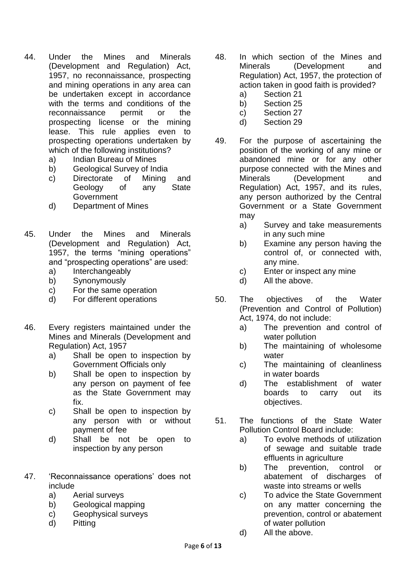- 44. Under the Mines and Minerals (Development and Regulation) Act, 1957, no reconnaissance, prospecting and mining operations in any area can be undertaken except in accordance with the terms and conditions of the reconnaissance permit or the prospecting license or the mining lease. This rule applies even to prospecting operations undertaken by which of the following institutions?
	- a) Indian Bureau of Mines
	- b) Geological Survey of India
	- c) Directorate of Mining and Geology of any State **Government**
	- d) Department of Mines
- 45. Under the Mines and Minerals (Development and Regulation) Act, 1957, the terms "mining operations" and "prospecting operations" are used:
	- a) Interchangeably
	- b) Synonymously
	- c) For the same operation
	- d) For different operations
- 46. Every registers maintained under the Mines and Minerals (Development and Regulation) Act, 1957
	- a) Shall be open to inspection by Government Officials only
	- b) Shall be open to inspection by any person on payment of fee as the State Government may fix.
	- c) Shall be open to inspection by any person with or without payment of fee
	- d) Shall be not be open to inspection by any person
- 47. 'Reconnaissance operations' does not include
	- a) Aerial surveys
	- b) Geological mapping
	- c) Geophysical surveys
	- d) Pitting
- 48. In which section of the Mines and Minerals (Development and Regulation) Act, 1957, the protection of action taken in good faith is provided?
	- a) Section 21
	- b) Section 25
	- c) Section 27
	- d) Section 29
- 49. For the purpose of ascertaining the position of the working of any mine or abandoned mine or for any other purpose connected with the Mines and Minerals (Development and Regulation) Act, 1957, and its rules, any person authorized by the Central Government or a State Government may
	- a) Survey and take measurements in any such mine
	- b) Examine any person having the control of, or connected with, any mine.
	- c) Enter or inspect any mine
	- d) All the above.
- 50. The objectives of the Water (Prevention and Control of Pollution) Act, 1974, do not include:
	- a) The prevention and control of water pollution
	- b) The maintaining of wholesome water
	- c) The maintaining of cleanliness in water boards
	- d) The establishment of water boards to carry out its objectives.
- 51. The functions of the State Water Pollution Control Board include:
	- a) To evolve methods of utilization of sewage and suitable trade effluents in agriculture
	- b) The prevention, control or abatement of discharges of waste into streams or wells
	- c) To advice the State Government on any matter concerning the prevention, control or abatement of water pollution
	- d) All the above.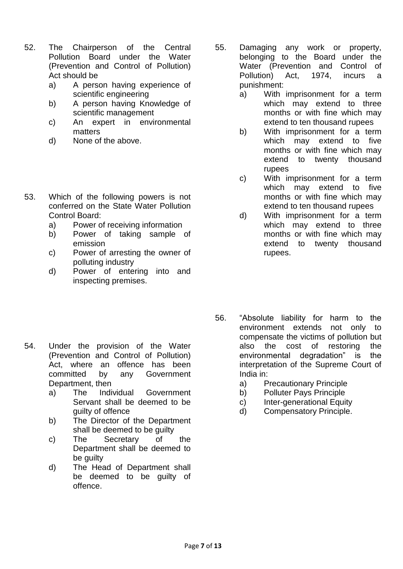- 52. The Chairperson of the Central Pollution Board under the Water (Prevention and Control of Pollution) Act should be
	- a) A person having experience of scientific engineering
	- b) A person having Knowledge of scientific management
	- c) An expert in environmental matters
	- d) None of the above.
- 53. Which of the following powers is not conferred on the State Water Pollution Control Board:
	- a) Power of receiving information
	- b) Power of taking sample of emission
	- c) Power of arresting the owner of polluting industry
	- d) Power of entering into and inspecting premises.
- 55. Damaging any work or property, belonging to the Board under the Water (Prevention and Control of Pollution) Act, 1974, incurs a punishment:
	- a) With imprisonment for a term which may extend to three months or with fine which may extend to ten thousand rupees
	- b) With imprisonment for a term which may extend to five months or with fine which may extend to twenty thousand rupees
	- c) With imprisonment for a term which may extend to five months or with fine which may extend to ten thousand rupees
	- d) With imprisonment for a term which may extend to three months or with fine which may extend to twenty thousand rupees.
- 56. "Absolute liability for harm to the environment extends not only to compensate the victims of pollution but also the cost of restoring the environmental degradation" is the interpretation of the Supreme Court of India in:
	- a) Precautionary Principle
	- b) Polluter Pays Principle
	- c) Inter-generational Equity
	- d) Compensatory Principle.
- 54. Under the provision of the Water (Prevention and Control of Pollution) Act, where an offence has been committed by any Government Department, then
	- a) The Individual Government Servant shall be deemed to be guilty of offence
	- b) The Director of the Department shall be deemed to be guilty
	- c) The Secretary of the Department shall be deemed to be quilty
	- d) The Head of Department shall be deemed to be guilty of offence.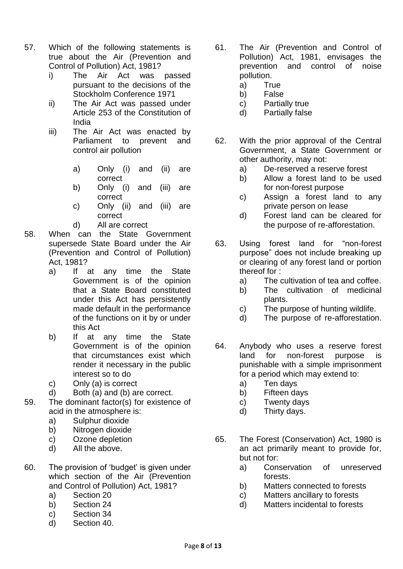- 57. Which of the following statements is true about the Air (Prevention and Control of Pollution) Act, 1981?
	- i) The Air Act was passed pursuant to the decisions of the Stockholm Conference 1971
	- ii) The Air Act was passed under Article 253 of the Constitution of India
	- iii) The Air Act was enacted by Parliament to prevent and control air pollution
		- a) Only (i) and (ii) are correct
		- b) Only (i) and (iii) are correct
		- c) Only (ii) and (iii) are correct
		- d) All are correct
- 58. When can the State Government supersede State Board under the Air (Prevention and Control of Pollution) Act, 1981?
	- a) If at any time the State Government is of the opinion that a State Board constituted under this Act has persistently made default in the performance of the functions on it by or under this Act
	- b) If at any time the State Government is of the opinion that circumstances exist which render it necessary in the public interest so to do
	- c) Only (a) is correct
	- d) Both (a) and (b) are correct.
- 59. The dominant factor(s) for existence of acid in the atmosphere is:
	- a) Sulphur dioxide
	- b) Nitrogen dioxide
	- c) Ozone depletion
	- d) All the above.
- 60. The provision of 'budget' is given under which section of the Air (Prevention and Control of Pollution) Act, 1981?
	- a) Section 20
	- b) Section 24
	- c) Section 34
	- d) Section 40.
- 61. The Air (Prevention and Control of Pollution) Act, 1981, envisages the prevention and control of noise pollution.
	- a) True
	- b) False
	- c) Partially true
	- d) Partially false
- 62. With the prior approval of the Central Government, a State Government or other authority, may not:
	- a) De-reserved a reserve forest
	- b) Allow a forest land to be used for non-forest purpose
	- c) Assign a forest land to any private person on lease
	- d) Forest land can be cleared for the purpose of re-afforestation.
- 63. Using forest land for "non-forest purpose" does not include breaking up or clearing of any forest land or portion thereof for :
	- a) The cultivation of tea and coffee.
	- b) The cultivation of medicinal plants.
	- c) The purpose of hunting wildlife.
	- d) The purpose of re-afforestation.
- 64. Anybody who uses a reserve forest land for non-forest purpose is punishable with a simple imprisonment for a period which may extend to:
	- a) Ten days
	- b) Fifteen days
	- c) Twenty days
	- d) Thirty days.
- 65. The Forest (Conservation) Act, 1980 is an act primarily meant to provide for, but not for:
	- a) Conservation of unreserved forests.
	- b) Matters connected to forests
	- c) Matters ancillary to forests
	- d) Matters incidental to forests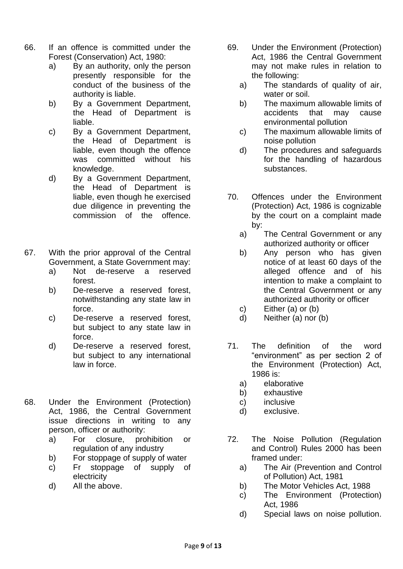- 66. If an offence is committed under the Forest (Conservation) Act, 1980:
	- a) By an authority, only the person presently responsible for the conduct of the business of the authority is liable.
	- b) By a Government Department, the Head of Department is liable.
	- c) By a Government Department, the Head of Department is liable, even though the offence was committed without his knowledge.
	- d) By a Government Department, the Head of Department is liable, even though he exercised due diligence in preventing the commission of the offence.
- 67. With the prior approval of the Central Government, a State Government may:
	- a) Not de-reserve a reserved forest.
	- b) De-reserve a reserved forest, notwithstanding any state law in force.
	- c) De-reserve a reserved forest, but subject to any state law in force.
	- d) De-reserve a reserved forest, but subject to any international law in force.
- 68. Under the Environment (Protection) Act, 1986, the Central Government issue directions in writing to any person, officer or authority:
	- a) For closure, prohibition or regulation of any industry
	- b) For stoppage of supply of water
	- c) Fr stoppage of supply of electricity
	- d) All the above.
- 69. Under the Environment (Protection) Act, 1986 the Central Government may not make rules in relation to the following:
	- a) The standards of quality of air, water or soil.
	- b) The maximum allowable limits of accidents that may cause environmental pollution
	- c) The maximum allowable limits of noise pollution
	- d) The procedures and safeguards for the handling of hazardous substances.
- 70. Offences under the Environment (Protection) Act, 1986 is cognizable by the court on a complaint made by:
	- a) The Central Government or any authorized authority or officer
	- b) Any person who has given notice of at least 60 days of the alleged offence and of his intention to make a complaint to the Central Government or any authorized authority or officer
	- c) Either (a) or (b)
	- d) Neither (a) nor (b)
- 71. The definition of the word "environment" as per section 2 of the Environment (Protection) Act, 1986 is:
	- a) elaborative
	- b) exhaustive
	- c) inclusive
	- d) exclusive.
- 72. The Noise Pollution (Regulation and Control) Rules 2000 has been framed under:
	- a) The Air (Prevention and Control of Pollution) Act, 1981
	- b) The Motor Vehicles Act, 1988
	- c) The Environment (Protection) Act, 1986
	- d) Special laws on noise pollution.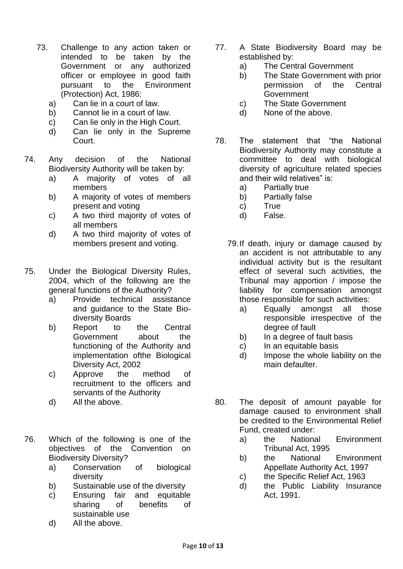- 73. Challenge to any action taken or intended to be taken by the Government or any authorized officer or employee in good faith pursuant to the Environment (Protection) Act, 1986:
	- a) Can lie in a court of law.
	- b) Cannot lie in a court of law.
	- c) Can lie only in the High Court.
	- d) Can lie only in the Supreme Court.
- 74. Any decision of the National Biodiversity Authority will be taken by:
	- a) A majority of votes of all members
	- b) A majority of votes of members present and voting
	- c) A two third majority of votes of all members
	- d) A two third majority of votes of members present and voting.
- 75. Under the Biological Diversity Rules, 2004, which of the following are the general functions of the Authority?
	- a) Provide technical assistance and guidance to the State Biodiversity Boards
	- b) Report to the Central Government about the functioning of the Authority and implementation ofthe Biological Diversity Act, 2002
	- c) Approve the method of recruitment to the officers and servants of the Authority
	- d) All the above.
- 76. Which of the following is one of the objectives of the Convention on Biodiversity Diversity?
	- a) Conservation of biological diversity
	- b) Sustainable use of the diversity
	- c) Ensuring fair and equitable sharing of benefits of sustainable use
	- d) All the above.
- 77. A State Biodiversity Board may be established by:
	- a) The Central Government
	- b) The State Government with prior permission of the Central Government
	- c) The State Government
	- d) None of the above.
- 78. The statement that "the National Biodiversity Authority may constitute a committee to deal with biological diversity of agriculture related species and their wild relatives" is:
	- a) Partially true
	- b) Partially false
	- c) True
	- d) False.
	- 79.If death, injury or damage caused by an accident is not attributable to any individual activity but is the resultant effect of several such activities, the Tribunal may apportion / impose the liability for compensation amongst those responsible for such activities:
		- a) Equally amongst all those responsible irrespective of the degree of fault
		- b) In a degree of fault basis
		- c) In an equitable basis
		- d) Impose the whole liability on the main defaulter.
- 80. The deposit of amount payable for damage caused to environment shall be credited to the Environmental Relief Fund, created under:
	- a) the National Environment Tribunal Act, 1995
	- b) the National Environment Appellate Authority Act, 1997
	- c) the Specific Relief Act, 1963
	- d) the Public Liability Insurance Act, 1991.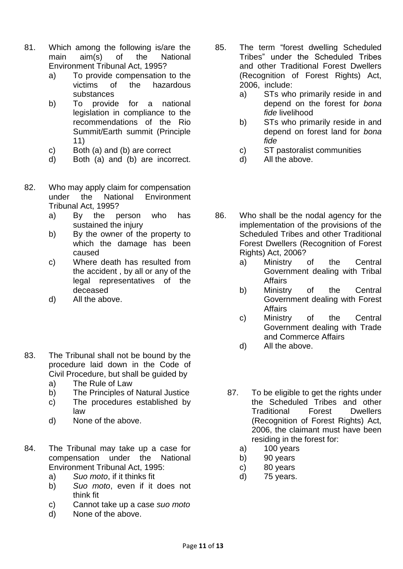- 81. Which among the following is/are the main aim(s) of the National Environment Tribunal Act, 1995?
	- a) To provide compensation to the victims of the hazardous substances
	- b) To provide for a national legislation in compliance to the recommendations of the Rio Summit/Earth summit (Principle 11)
	- c) Both (a) and (b) are correct
	- d) Both (a) and (b) are incorrect.
- 82. Who may apply claim for compensation under the National Environment Tribunal Act, 1995?
	- a) By the person who has sustained the injury
	- b) By the owner of the property to which the damage has been caused
	- c) Where death has resulted from the accident , by all or any of the legal representatives of the deceased
	- d) All the above.
- 83. The Tribunal shall not be bound by the procedure laid down in the Code of Civil Procedure, but shall be guided by
	- a) The Rule of Law
	- b) The Principles of Natural Justice
	- c) The procedures established by law
	- d) None of the above.
- 84. The Tribunal may take up a case for compensation under the National Environment Tribunal Act, 1995:
	- a) *Suo moto*, if it thinks fit
	- b) *Suo moto*, even if it does not think fit
	- c) Cannot take up a case *suo moto*
	- d) None of the above.
- 85. The term "forest dwelling Scheduled Tribes" under the Scheduled Tribes and other Traditional Forest Dwellers (Recognition of Forest Rights) Act, 2006, include:
	- a) STs who primarily reside in and depend on the forest for *bona fide* livelihood
	- b) STs who primarily reside in and depend on forest land for *bona fide*
	- c) ST pastoralist communities
	- d) All the above.
- 86. Who shall be the nodal agency for the implementation of the provisions of the Scheduled Tribes and other Traditional Forest Dwellers (Recognition of Forest Rights) Act, 2006?
	- a) Ministry of the Central Government dealing with Tribal Affairs
	- b) Ministry of the Central Government dealing with Forest **Affairs**
	- c) Ministry of the Central Government dealing with Trade and Commerce Affairs
	- d) All the above.
	- 87. To be eligible to get the rights under the Scheduled Tribes and other Traditional Forest Dwellers (Recognition of Forest Rights) Act, 2006, the claimant must have been residing in the forest for:
		- a) 100 years
		- b) 90 years
		- c) 80 years
		- d) 75 years.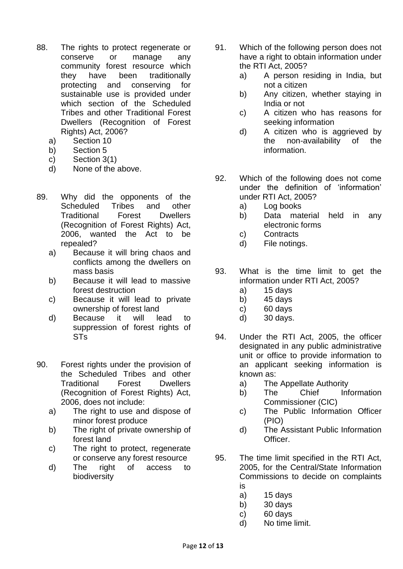- 88. The rights to protect regenerate or conserve or manage any community forest resource which they have been traditionally protecting and conserving for sustainable use is provided under which section of the Scheduled Tribes and other Traditional Forest Dwellers (Recognition of Forest Rights) Act, 2006?
	- a) Section 10
	- b) Section 5
	- c) Section 3(1)
	- d) None of the above.
- 89. Why did the opponents of the Scheduled Tribes and other Traditional Forest Dwellers (Recognition of Forest Rights) Act, 2006, wanted the Act to be repealed?
	- a) Because it will bring chaos and conflicts among the dwellers on mass basis
	- b) Because it will lead to massive forest destruction
	- c) Because it will lead to private ownership of forest land
	- d) Because it will lead to suppression of forest rights of STs
- 90. Forest rights under the provision of the Scheduled Tribes and other Traditional Forest Dwellers (Recognition of Forest Rights) Act, 2006, does not include:
	- a) The right to use and dispose of minor forest produce
	- b) The right of private ownership of forest land
	- c) The right to protect, regenerate or conserve any forest resource
	- d) The right of access to biodiversity
- 91. Which of the following person does not have a right to obtain information under the RTI Act, 2005?
	- a) A person residing in India, but not a citizen
	- b) Any citizen, whether staying in India or not
	- c) A citizen who has reasons for seeking information
	- d) A citizen who is aggrieved by the non-availability of the information.
- 92. Which of the following does not come under the definition of 'information' under RTI Act, 2005?
	- a) Log books
	- b) Data material held in any electronic forms
	- c) Contracts
	- d) File notings.
- 93. What is the time limit to get the information under RTI Act, 2005?
	- a) 15 days
	- b) 45 days
	- c) 60 days
	- d) 30 days.
- 94. Under the RTI Act, 2005, the officer designated in any public administrative unit or office to provide information to an applicant seeking information is known as:
	- a) The Appellate Authority
	- b) The Chief Information Commissioner (CIC)
	- c) The Public Information Officer (PIO)
	- d) The Assistant Public Information Officer.
- 95. The time limit specified in the RTI Act, 2005, for the Central/State Information Commissions to decide on complaints is
	- a) 15 days
	- b) 30 days
	- c) 60 days
	- d) No time limit.